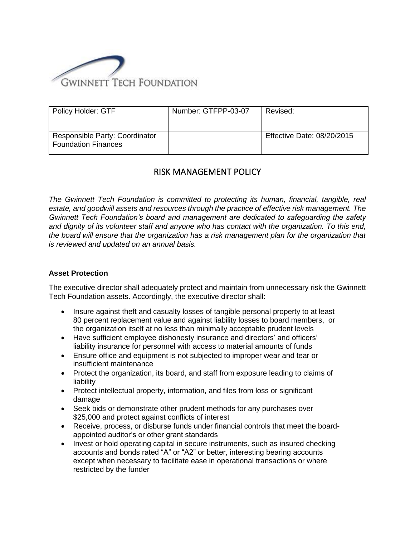

| <b>Policy Holder: GTF</b>                                    | Number: GTFPP-03-07 | Revised:                   |
|--------------------------------------------------------------|---------------------|----------------------------|
| Responsible Party: Coordinator<br><b>Foundation Finances</b> |                     | Effective Date: 08/20/2015 |

## RISK MANAGEMENT POLICY

*The Gwinnett Tech Foundation is committed to protecting its human, financial, tangible, real estate, and goodwill assets and resources through the practice of effective risk management. The Gwinnett Tech Foundation's board and management are dedicated to safeguarding the safety and dignity of its volunteer staff and anyone who has contact with the organization. To this end, the board will ensure that the organization has a risk management plan for the organization that is reviewed and updated on an annual basis.*

## **Asset Protection**

The executive director shall adequately protect and maintain from unnecessary risk the Gwinnett Tech Foundation assets. Accordingly, the executive director shall:

- Insure against theft and casualty losses of tangible personal property to at least 80 percent replacement value and against liability losses to board members, or the organization itself at no less than minimally acceptable prudent levels
- Have sufficient employee dishonesty insurance and directors' and officers' liability insurance for personnel with access to material amounts of funds
- Ensure office and equipment is not subjected to improper wear and tear or insufficient maintenance
- Protect the organization, its board, and staff from exposure leading to claims of liability
- Protect intellectual property, information, and files from loss or significant damage
- Seek bids or demonstrate other prudent methods for any purchases over \$25,000 and protect against conflicts of interest
- Receive, process, or disburse funds under financial controls that meet the boardappointed auditor's or other grant standards
- Invest or hold operating capital in secure instruments, such as insured checking accounts and bonds rated "A" or "A2" or better, interesting bearing accounts except when necessary to facilitate ease in operational transactions or where restricted by the funder